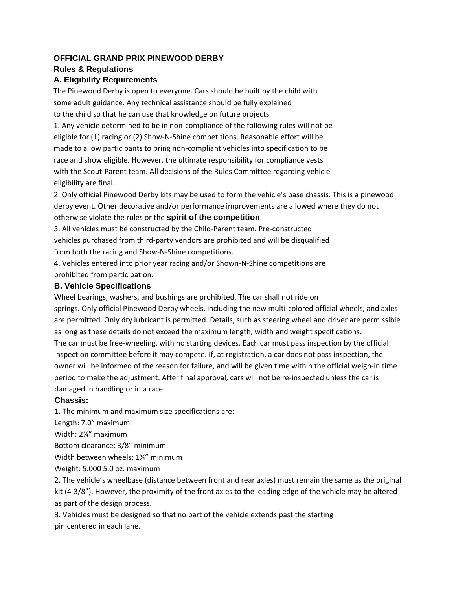# **OFFICIAL GRAND PRIX PINEWOOD DERBY**

## **Rules & Regulations**

## **A. Eligibility Requirements**

The Pinewood Derby is open to everyone. Cars should be built by the child with some adult guidance. Any technical assistance should be fully explained to the child so that he can use that knowledge on future projects.

1. Any vehicle determined to be in non‐compliance of the following rules will not be eligible for (1) racing or (2) Show‐N‐Shine competitions. Reasonable effort will be made to allow participants to bring non‐compliant vehicles into specification to be race and show eligible. However, the ultimate responsibility for compliance vests with the Scout-Parent team. All decisions of the Rules Committee regarding vehicle eligibility are final.

2. Only official Pinewood Derby kits may be used to form the vehicle's base chassis. This is a pinewood derby event. Other decorative and/or performance improvements are allowed where they do not otherwise violate the rules or the **spirit of the competition**.

3. All vehicles must be constructed by the Child‐Parent team. Pre‐constructed vehicles purchased from third‐party vendors are prohibited and will be disqualified from both the racing and Show‐N‐Shine competitions.

4. Vehicles entered into prior year racing and/or Shown‐N‐Shine competitions are prohibited from participation.

## **B. Vehicle Specifications**

Wheel bearings, washers, and bushings are prohibited. The car shall not ride on

springs. Only official Pinewood Derby wheels, including the new multi-colored official wheels, and axles are permitted. Only dry lubricant is permitted. Details, such as steering wheel and driver are permissible as long as these details do not exceed the maximum length, width and weight specifications.

The car must be free-wheeling, with no starting devices. Each car must pass inspection by the official inspection committee before it may compete. If, at registration, a car does not pass inspection, the owner will be informed of the reason for failure, and will be given time within the official weigh‐in time period to make the adjustment. After final approval, cars will not be re-inspected unless the car is damaged in handling or in a race.

## **Chassis:**

1. The minimum and maximum size specifications are:

Length: 7.0" maximum

Width: 2¾" maximum

Bottom clearance: 3/8" minimum

Width between wheels: 1¾" minimum

Weight: 5.000 5.0 oz. maximum

2. The vehicle's wheelbase (distance between front and rear axles) must remain the same as the original kit (4-3/8"). However, the proximity of the front axles to the leading edge of the vehicle may be altered as part of the design process.

3. Vehicles must be designed so that no part of the vehicle extends past the starting pin centered in each lane.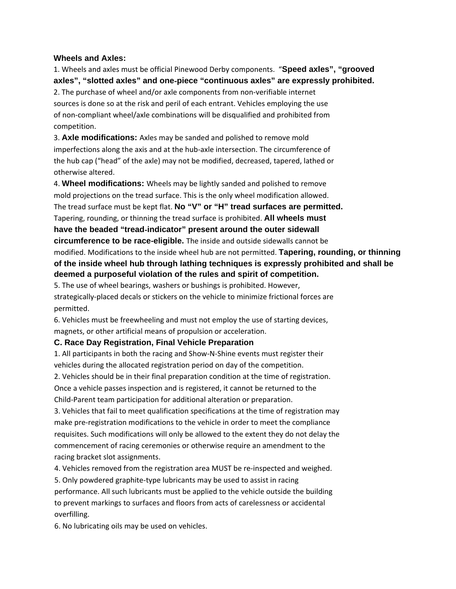#### **Wheels and Axles:**

1. Wheels and axles must be official Pinewood Derby components. "**Speed axles", "grooved axles", "slotted axles" and one**‐**piece "continuous axles" are expressly prohibited.**  2. The purchase of wheel and/or axle components from non‐verifiable internet sources is done so at the risk and peril of each entrant. Vehicles employing the use of non‐compliant wheel/axle combinations will be disqualified and prohibited from competition.

3. **Axle modifications:** Axles may be sanded and polished to remove mold imperfections along the axis and at the hub-axle intersection. The circumference of the hub cap ("head" of the axle) may not be modified, decreased, tapered, lathed or otherwise altered.

4. **Wheel modifications:** Wheels may be lightly sanded and polished to remove mold projections on the tread surface. This is the only wheel modification allowed. The tread surface must be kept flat. **No "V" or "H" tread surfaces are permitted.**  Tapering, rounding, or thinning the tread surface is prohibited. **All wheels must have the beaded "tread**‐**indicator" present around the outer sidewall circumference to be race**‐**eligible.** The inside and outside sidewalls cannot be modified. Modifications to the inside wheel hub are not permitted. **Tapering, rounding, or thinning of the inside wheel hub through lathing techniques is expressly prohibited and shall be deemed a purposeful violation of the rules and spirit of competition.** 

5. The use of wheel bearings, washers or bushings is prohibited. However, strategically‐placed decals or stickers on the vehicle to minimize frictional forces are permitted.

6. Vehicles must be freewheeling and must not employ the use of starting devices, magnets, or other artificial means of propulsion or acceleration.

#### **C. Race Day Registration, Final Vehicle Preparation**

1. All participants in both the racing and Show‐N‐Shine events must register their vehicles during the allocated registration period on day of the competition.

2. Vehicles should be in their final preparation condition at the time of registration. Once a vehicle passes inspection and is registered, it cannot be returned to the Child‐Parent team participation for additional alteration or preparation.

3. Vehicles that fail to meet qualification specifications at the time of registration may make pre-registration modifications to the vehicle in order to meet the compliance requisites. Such modifications will only be allowed to the extent they do not delay the commencement of racing ceremonies or otherwise require an amendment to the racing bracket slot assignments.

4. Vehicles removed from the registration area MUST be re-inspected and weighed.

5. Only powdered graphite‐type lubricants may be used to assist in racing performance. All such lubricants must be applied to the vehicle outside the building to prevent markings to surfaces and floors from acts of carelessness or accidental overfilling.

6. No lubricating oils may be used on vehicles.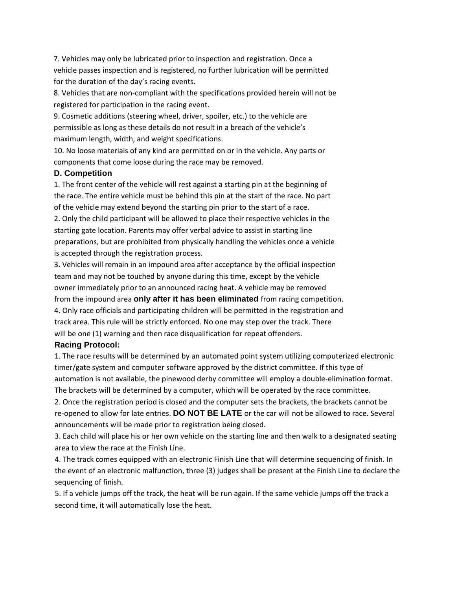7. Vehicles may only be lubricated prior to inspection and registration. Once a vehicle passes inspection and is registered, no further lubrication will be permitted for the duration of the day's racing events.

8. Vehicles that are non‐compliant with the specifications provided herein will not be registered for participation in the racing event.

9. Cosmetic additions (steering wheel, driver, spoiler, etc.) to the vehicle are permissible as long as these details do not result in a breach of the vehicle's maximum length, width, and weight specifications.

10. No loose materials of any kind are permitted on or in the vehicle. Any parts or components that come loose during the race may be removed.

### **D. Competition**

1. The front center of the vehicle will rest against a starting pin at the beginning of the race. The entire vehicle must be behind this pin at the start of the race. No part of the vehicle may extend beyond the starting pin prior to the start of a race.

2. Only the child participant will be allowed to place their respective vehicles in the starting gate location. Parents may offer verbal advice to assist in starting line preparations, but are prohibited from physically handling the vehicles once a vehicle is accepted through the registration process.

3. Vehicles will remain in an impound area after acceptance by the official inspection team and may not be touched by anyone during this time, except by the vehicle owner immediately prior to an announced racing heat. A vehicle may be removed from the impound area **only after it has been eliminated** from racing competition. 4. Only race officials and participating children will be permitted in the registration and track area. This rule will be strictly enforced. No one may step over the track. There will be one (1) warning and then race disqualification for repeat offenders. **Racing Protocol:** 

1. The race results will be determined by an automated point system utilizing computerized electronic timer/gate system and computer software approved by the district committee. If this type of automation is not available, the pinewood derby committee will employ a double‐elimination format. The brackets will be determined by a computer, which will be operated by the race committee.

2. Once the registration period is closed and the computer sets the brackets, the brackets cannot be re‐opened to allow for late entries. **DO NOT BE LATE** or the car will not be allowed to race. Several announcements will be made prior to registration being closed.

3. Each child will place his or her own vehicle on the starting line and then walk to a designated seating area to view the race at the Finish Line.

4. The track comes equipped with an electronic Finish Line that will determine sequencing of finish. In the event of an electronic malfunction, three (3) judges shall be present at the Finish Line to declare the sequencing of finish.

5. If a vehicle jumps off the track, the heat will be run again. If the same vehicle jumps off the track a second time, it will automatically lose the heat.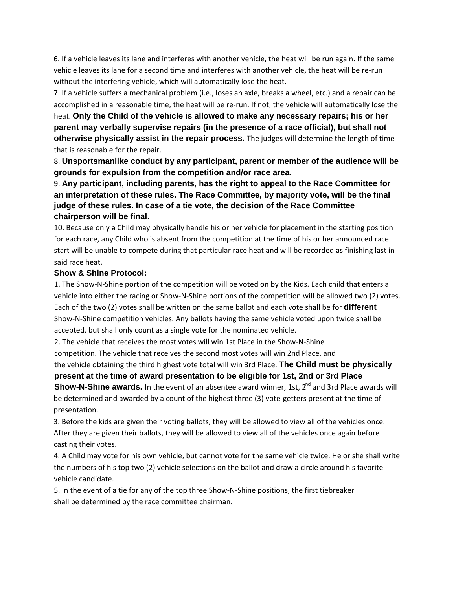6. If a vehicle leaves its lane and interferes with another vehicle, the heat will be run again. If the same vehicle leaves its lane for a second time and interferes with another vehicle, the heat will be re‐run without the interfering vehicle, which will automatically lose the heat.

7. If a vehicle suffers a mechanical problem (i.e., loses an axle, breaks a wheel, etc.) and a repair can be accomplished in a reasonable time, the heat will be re-run. If not, the vehicle will automatically lose the heat. **Only the Child of the vehicle is allowed to make any necessary repairs; his or her** 

**parent may verbally supervise repairs (in the presence of a race official), but shall not otherwise physically assist in the repair process.** The judges will determine the length of time that is reasonable for the repair.

8. **Unsportsmanlike conduct by any participant, parent or member of the audience will be grounds for expulsion from the competition and/or race area.** 

# 9. **Any participant, including parents, has the right to appeal to the Race Committee for an interpretation of these rules. The Race Committee, by majority vote, will be the final judge of these rules. In case of a tie vote, the decision of the Race Committee chairperson will be final.**

10. Because only a Child may physically handle his or her vehicle for placement in the starting position for each race, any Child who is absent from the competition at the time of his or her announced race start will be unable to compete during that particular race heat and will be recorded as finishing last in said race heat.

### **Show & Shine Protocol:**

1. The Show‐N‐Shine portion of the competition will be voted on by the Kids. Each child that enters a vehicle into either the racing or Show‐N‐Shine portions of the competition will be allowed two (2) votes. Each of the two (2) votes shall be written on the same ballot and each vote shall be for **different**  Show‐N‐Shine competition vehicles. Any ballots having the same vehicle voted upon twice shall be accepted, but shall only count as a single vote for the nominated vehicle.

2. The vehicle that receives the most votes will win 1st Place in the Show‐N‐Shine

competition. The vehicle that receives the second most votes will win 2nd Place, and

the vehicle obtaining the third highest vote total will win 3rd Place. **The Child must be physically present at the time of award presentation to be eligible for 1st, 2nd or 3rd Place** 

**Show-N-Shine awards.** In the event of an absentee award winner, 1st, 2<sup>nd</sup> and 3rd Place awards will be determined and awarded by a count of the highest three (3) vote-getters present at the time of presentation.

3. Before the kids are given their voting ballots, they will be allowed to view all of the vehicles once. After they are given their ballots, they will be allowed to view all of the vehicles once again before casting their votes.

4. A Child may vote for his own vehicle, but cannot vote for the same vehicle twice. He or she shall write the numbers of his top two (2) vehicle selections on the ballot and draw a circle around his favorite vehicle candidate.

5. In the event of a tie for any of the top three Show-N-Shine positions, the first tiebreaker shall be determined by the race committee chairman.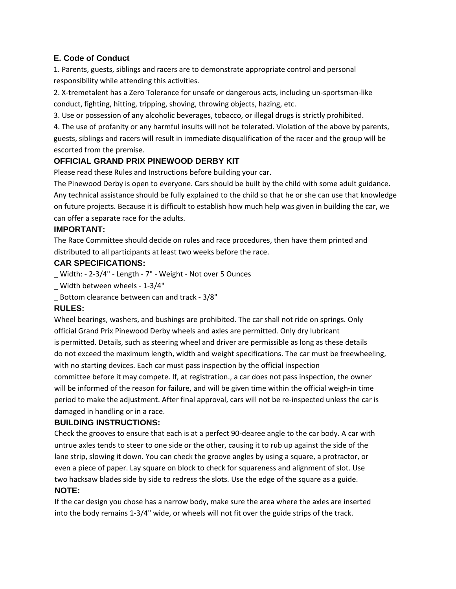### **E. Code of Conduct**

1. Parents, guests, siblings and racers are to demonstrate appropriate control and personal responsibility while attending this activities.

2. X‐tremetalent has a Zero Tolerance for unsafe or dangerous acts, including un‐sportsman‐like conduct, fighting, hitting, tripping, shoving, throwing objects, hazing, etc.

3. Use or possession of any alcoholic beverages, tobacco, or illegal drugs is strictly prohibited.

4. The use of profanity or any harmful insults will not be tolerated. Violation of the above by parents, guests, siblings and racers will result in immediate disqualification of the racer and the group will be escorted from the premise.

## **OFFICIAL GRAND PRIX PINEWOOD DERBY KIT**

Please read these Rules and Instructions before building your car.

The Pinewood Derby is open to everyone. Cars should be built by the child with some adult guidance. Any technical assistance should be fully explained to the child so that he or she can use that knowledge on future projects. Because it is difficult to establish how much help was given in building the car, we can offer a separate race for the adults.

#### **IMPORTANT:**

The Race Committee should decide on rules and race procedures, then have them printed and distributed to all participants at least two weeks before the race.

### **CAR SPECIFICATIONS:**

- Width: 2-3/4" Length 7" Weight Not over 5 Ounces
- \_ Width between wheels ‐ 1‐3/4"
- Bottom clearance between can and track 3/8"

### **RULES:**

Wheel bearings, washers, and bushings are prohibited. The car shall not ride on springs. Only official Grand Prix Pinewood Derby wheels and axles are permitted. Only dry lubricant is permitted. Details, such as steering wheel and driver are permissible as long as these details do not exceed the maximum length, width and weight specifications. The car must be freewheeling, with no starting devices. Each car must pass inspection by the official inspection committee before it may compete. If, at registration., a car does not pass inspection, the owner will be informed of the reason for failure, and will be given time within the official weigh-in time period to make the adjustment. After final approval, cars will not be re-inspected unless the car is damaged in handling or in a race.

### **BUILDING INSTRUCTIONS:**

Check the grooves to ensure that each is at a perfect 90‐dearee angle to the car body. A car with untrue axles tends to steer to one side or the other, causing it to rub up against the side of the lane strip, slowing it down. You can check the groove angles by using a square, a protractor, or even a piece of paper. Lay square on block to check for squareness and alignment of slot. Use two hacksaw blades side by side to redress the slots. Use the edge of the square as a guide.

### **NOTE:**

If the car design you chose has a narrow body, make sure the area where the axles are inserted into the body remains 1‐3/4" wide, or wheels will not fit over the guide strips of the track.